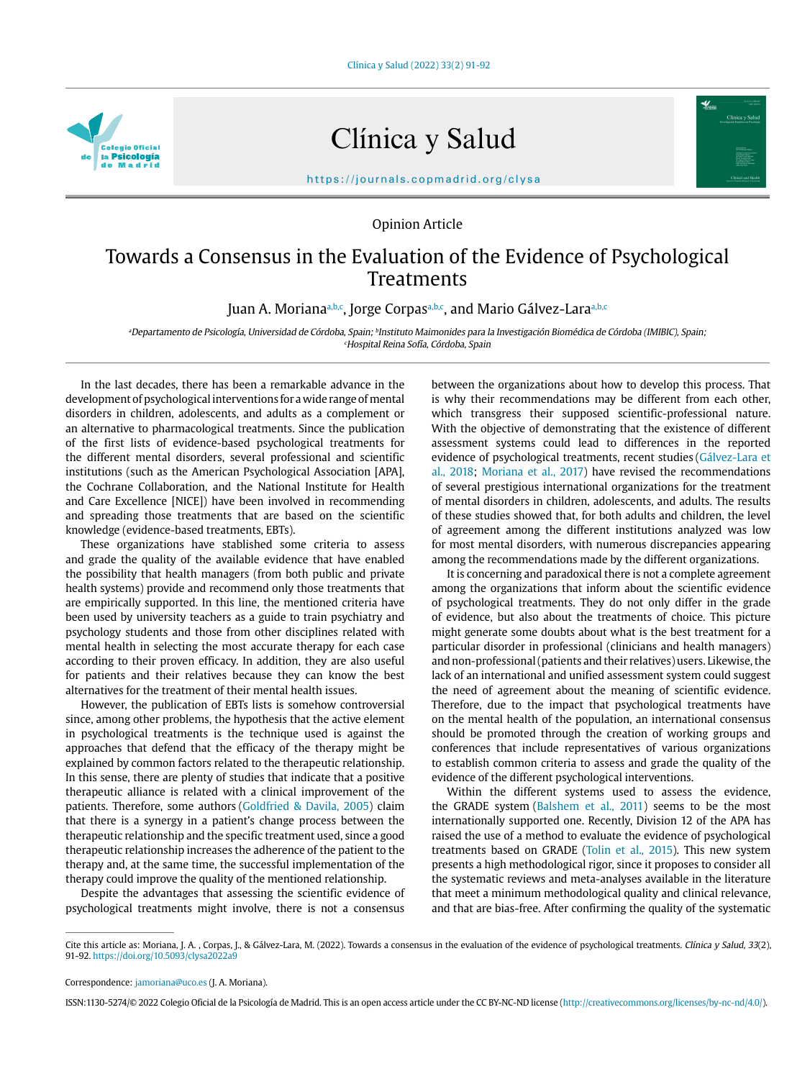

Clínica y Salud

https://journals.copmadrid.org/clysa

Opinion Article

## Towards a Consensus in the Evaluation of the Evidence of Psychological Treatments

Juan A. Moriana<sup>a,b,c</sup>, Jorge Corpasa,b,c, and Mario Gálvez-Lara<sup>a,b,c</sup>

<sup>a</sup>Departamento de Psicología, Universidad de Córdoba, Spain; <sup>b</sup>Instituto Maimonides para la Investigación Biomédica de Córdoba (IMIBIC), Spain; c Hospital Reina Sofía, Córdoba, Spain

In the last decades, there has been a remarkable advance in the development of psychological interventions for a wide range of mental disorders in children, adolescents, and adults as a complement or an alternative to pharmacological treatments. Since the publication of the first lists of evidence-based psychological treatments for the different mental disorders, several professional and scientific institutions (such as the American Psychological Association [APA], the Cochrane Collaboration, and the National Institute for Health and Care Excellence [NICE]) have been involved in recommending and spreading those treatments that are based on the scientific knowledge (evidence-based treatments, EBTs).

These organizations have stablished some criteria to assess and grade the quality of the available evidence that have enabled the possibility that health managers (from both public and private health systems) provide and recommend only those treatments that are empirically supported. In this line, the mentioned criteria have been used by university teachers as a guide to train psychiatry and psychology students and those from other disciplines related with mental health in selecting the most accurate therapy for each case according to their proven efficacy. In addition, they are also useful for patients and their relatives because they can know the best alternatives for the treatment of their mental health issues.

However, the publication of EBTs lists is somehow controversial since, among other problems, the hypothesis that the active element in psychological treatments is the technique used is against the approaches that defend that the efficacy of the therapy might be explained by common factors related to the therapeutic relationship. In this sense, there are plenty of studies that indicate that a positive therapeutic alliance is related with a clinical improvement of the patients. Therefore, some authors (Goldfried & Davila, 2005) claim that there is a synergy in a patient's change process between the therapeutic relationship and the specific treatment used, since a good therapeutic relationship increases the adherence of the patient to the therapy and, at the same time, the successful implementation of the therapy could improve the quality of the mentioned relationship.

Despite the advantages that assessing the scientific evidence of psychological treatments might involve, there is not a consensus

between the organizations about how to develop this process. That is why their recommendations may be different from each other, which transgress their supposed scientific-professional nature. With the objective of demonstrating that the existence of different assessment systems could lead to differences in the reported evidence of psychological treatments, recent studies (Gálvez-Lara et al., 2018; Moriana et al., 2017) have revised the recommendations of several prestigious international organizations for the treatment of mental disorders in children, adolescents, and adults. The results of these studies showed that, for both adults and children, the level of agreement among the different institutions analyzed was low for most mental disorders, with numerous discrepancies appearing among the recommendations made by the different organizations.

It is concerning and paradoxical there is not a complete agreement among the organizations that inform about the scientific evidence of psychological treatments. They do not only differ in the grade of evidence, but also about the treatments of choice. This picture might generate some doubts about what is the best treatment for a particular disorder in professional (clinicians and health managers) and non-professional (patients and their relatives) users. Likewise, the lack of an international and unified assessment system could suggest the need of agreement about the meaning of scientific evidence. Therefore, due to the impact that psychological treatments have on the mental health of the population, an international consensus should be promoted through the creation of working groups and conferences that include representatives of various organizations to establish common criteria to assess and grade the quality of the evidence of the different psychological interventions.

Within the different systems used to assess the evidence, the GRADE system (Balshem et al., 2011) seems to be the most internationally supported one. Recently, Division 12 of the APA has raised the use of a method to evaluate the evidence of psychological treatments based on GRADE (Tolin et al., 2015). This new system presents a high methodological rigor, since it proposes to consider all the systematic reviews and meta-analyses available in the literature that meet a minimum methodological quality and clinical relevance, and that are bias-free. After confirming the quality of the systematic

Correspondence: jamoriana@uco.es (J. A. Moriana).

ISSN:1130-5274/© 2022 Colegio Oficial de la Psicología de Madrid. This is an open access article under the CC BY-NC-ND license (http://creativecommons.org/licenses/by-nc-nd/4.0/).

Cite this article as: Moriana, J. A. , Corpas, J., & Gálvez-Lara, M. (2022). Towards a consensus in the evaluation of the evidence of psychological treatments. Clínica y Salud, 33(2), 91-92. https://doi.org/10.5093/clysa2022a9